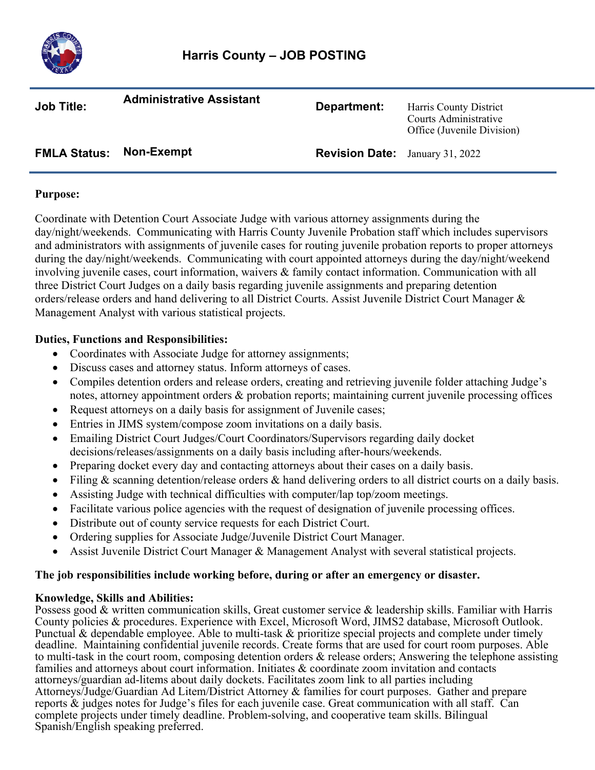

| <b>Job Title:</b>   | <b>Administrative Assistant</b> | Department:                            | Harris County District<br>Courts Administrative<br>Office (Juvenile Division) |
|---------------------|---------------------------------|----------------------------------------|-------------------------------------------------------------------------------|
| <b>FMLA Status:</b> | Non-Exempt                      | <b>Revision Date:</b> January 31, 2022 |                                                                               |

## **Purpose:**

Coordinate with Detention Court Associate Judge with various attorney assignments during the day/night/weekends. Communicating with Harris County Juvenile Probation staff which includes supervisors and administrators with assignments of juvenile cases for routing juvenile probation reports to proper attorneys during the day/night/weekends. Communicating with court appointed attorneys during the day/night/weekend involving juvenile cases, court information, waivers & family contact information. Communication with all three District Court Judges on a daily basis regarding juvenile assignments and preparing detention orders/release orders and hand delivering to all District Courts. Assist Juvenile District Court Manager & Management Analyst with various statistical projects.

# **Duties, Functions and Responsibilities:**

- Coordinates with Associate Judge for attorney assignments;
- Discuss cases and attorney status. Inform attorneys of cases.
- Compiles detention orders and release orders, creating and retrieving juvenile folder attaching Judge's notes, attorney appointment orders & probation reports; maintaining current juvenile processing offices
- Request attorneys on a daily basis for assignment of Juvenile cases;
- Entries in JIMS system/compose zoom invitations on a daily basis.
- Emailing District Court Judges/Court Coordinators/Supervisors regarding daily docket decisions/releases/assignments on a daily basis including after-hours/weekends.
- Preparing docket every day and contacting attorneys about their cases on a daily basis.
- Filing & scanning detention/release orders & hand delivering orders to all district courts on a daily basis.
- Assisting Judge with technical difficulties with computer/lap top/zoom meetings.
- Facilitate various police agencies with the request of designation of juvenile processing offices.
- Distribute out of county service requests for each District Court.
- Ordering supplies for Associate Judge/Juvenile District Court Manager.
- Assist Juvenile District Court Manager & Management Analyst with several statistical projects.

## **The job responsibilities include working before, during or after an emergency or disaster.**

## **Knowledge, Skills and Abilities:**

Possess good & written communication skills, Great customer service & leadership skills. Familiar with Harris County policies & procedures. Experience with Excel, Microsoft Word, JIMS2 database, Microsoft Outlook. Punctual & dependable employee. Able to multi-task & prioritize special projects and complete under timely deadline. Maintaining confidential juvenile records. Create forms that are used for court room purposes. Able to multi-task in the court room, composing detention orders & release orders; Answering the telephone assisting families and attorneys about court information. Initiates & coordinate zoom invitation and contacts attorneys/guardian ad-litems about daily dockets. Facilitates zoom link to all parties including Attorneys/Judge/Guardian Ad Litem/District Attorney & families for court purposes. Gather and prepare reports & judges notes for Judge's files for each juvenile case. Great communication with all staff. Can complete projects under timely deadline. Problem-solving, and cooperative team skills. Bilingual Spanish/English speaking preferred.